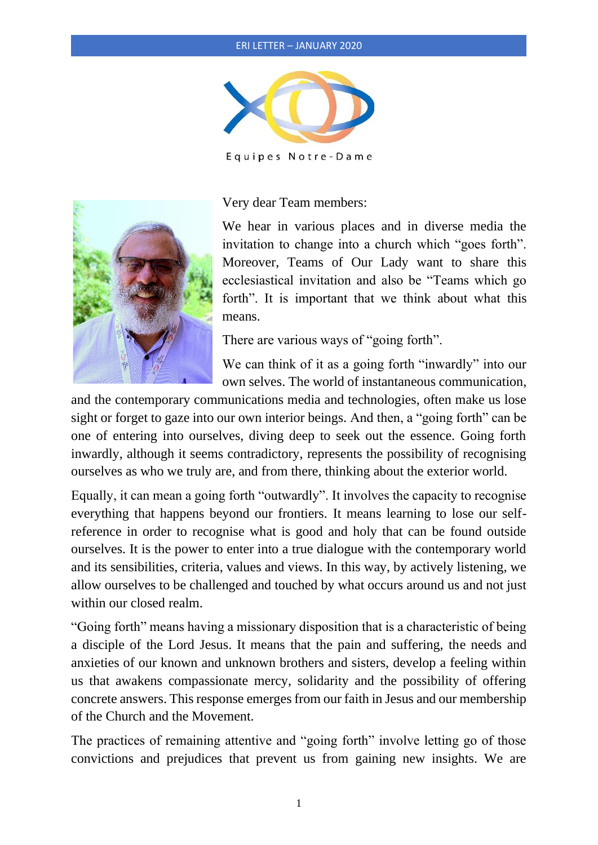## ERI LETTER – JANUARY 2020



Equipes Notre-Dame



Very dear Team members:

We hear in various places and in diverse media the invitation to change into a church which "goes forth". Moreover, Teams of Our Lady want to share this ecclesiastical invitation and also be "Teams which go forth". It is important that we think about what this means.

There are various ways of "going forth".

We can think of it as a going forth "inwardly" into our own selves. The world of instantaneous communication,

and the contemporary communications media and technologies, often make us lose sight or forget to gaze into our own interior beings. And then, a "going forth" can be one of entering into ourselves, diving deep to seek out the essence. Going forth inwardly, although it seems contradictory, represents the possibility of recognising ourselves as who we truly are, and from there, thinking about the exterior world.

Equally, it can mean a going forth "outwardly". It involves the capacity to recognise everything that happens beyond our frontiers. It means learning to lose our selfreference in order to recognise what is good and holy that can be found outside ourselves. It is the power to enter into a true dialogue with the contemporary world and its sensibilities, criteria, values and views. In this way, by actively listening, we allow ourselves to be challenged and touched by what occurs around us and not just within our closed realm.

"Going forth" means having a missionary disposition that is a characteristic of being a disciple of the Lord Jesus. It means that the pain and suffering, the needs and anxieties of our known and unknown brothers and sisters, develop a feeling within us that awakens compassionate mercy, solidarity and the possibility of offering concrete answers. This response emerges from our faith in Jesus and our membership of the Church and the Movement.

The practices of remaining attentive and "going forth" involve letting go of those convictions and prejudices that prevent us from gaining new insights. We are